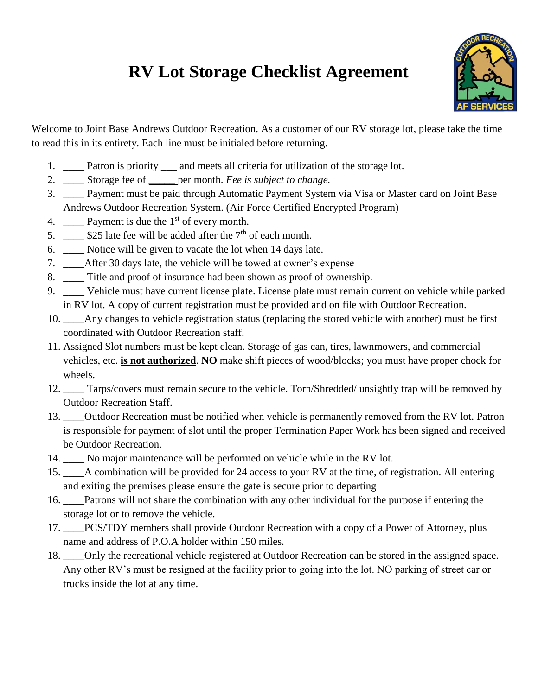## **RV Lot Storage Checklist Agreement**



Welcome to Joint Base Andrews Outdoor Recreation. As a customer of our RV storage lot, please take the time to read this in its entirety. Each line must be initialed before returning.

- 1. \_\_\_\_ Patron is priority \_\_\_ and meets all criteria for utilization of the storage lot.
- 2. \_\_\_\_ Storage fee of **\_\_\_\_\_** per month. *Fee is subject to change.*
- 3. \_\_\_\_ Payment must be paid through Automatic Payment System via Visa or Master card on Joint Base Andrews Outdoor Recreation System. (Air Force Certified Encrypted Program)
- 4.  $\_\_\_\_\$  Payment is due the 1<sup>st</sup> of every month.
- 5.  $\_\_\_\$ \$25 late fee will be added after the 7<sup>th</sup> of each month.
- 6. \_\_\_\_ Notice will be given to vacate the lot when 14 days late.
- 7. \_\_\_\_After 30 days late, the vehicle will be towed at owner's expense
- 8. \_\_\_\_ Title and proof of insurance had been shown as proof of ownership.
- 9. \_\_\_\_ Vehicle must have current license plate. License plate must remain current on vehicle while parked in RV lot. A copy of current registration must be provided and on file with Outdoor Recreation.
- 10. \_\_\_\_Any changes to vehicle registration status (replacing the stored vehicle with another) must be first coordinated with Outdoor Recreation staff.
- 11. Assigned Slot numbers must be kept clean. Storage of gas can, tires, lawnmowers, and commercial vehicles, etc. **is not authorized**. **NO** make shift pieces of wood/blocks; you must have proper chock for wheels.
- 12. \_\_\_\_ Tarps/covers must remain secure to the vehicle. Torn/Shredded/ unsightly trap will be removed by Outdoor Recreation Staff.
- 13. \_\_\_\_Outdoor Recreation must be notified when vehicle is permanently removed from the RV lot. Patron is responsible for payment of slot until the proper Termination Paper Work has been signed and received be Outdoor Recreation.
- 14. \_\_\_\_ No major maintenance will be performed on vehicle while in the RV lot.
- 15. \_\_\_\_A combination will be provided for 24 access to your RV at the time, of registration. All entering and exiting the premises please ensure the gate is secure prior to departing
- 16. \_\_\_\_Patrons will not share the combination with any other individual for the purpose if entering the storage lot or to remove the vehicle.
- 17. PCS/TDY members shall provide Outdoor Recreation with a copy of a Power of Attorney, plus name and address of P.O.A holder within 150 miles.
- 18. \_\_\_\_Only the recreational vehicle registered at Outdoor Recreation can be stored in the assigned space. Any other RV's must be resigned at the facility prior to going into the lot. NO parking of street car or trucks inside the lot at any time.